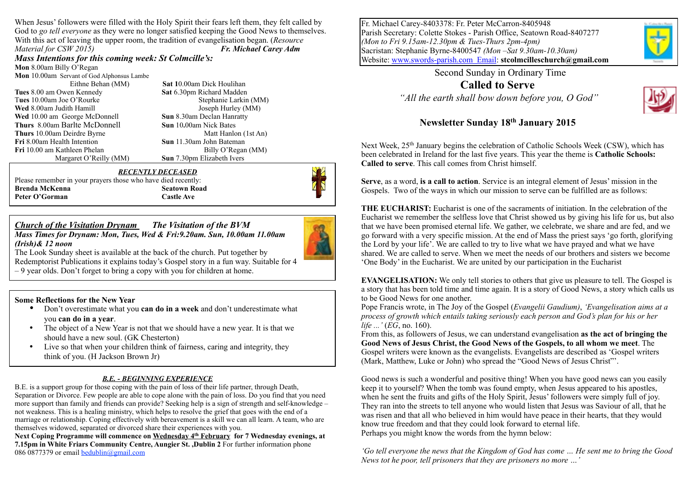When Jesus' followers were filled with the Holy Spirit their fears left them, they felt called by God to *go tell everyone* as they were no longer satisfied keeping the Good News to themselves. With this act of leaving the upper room, the tradition of evangelisation began. (*Resource Material for CSW 2015) Fr. Michael Carey Adm*

*Mass Intentions for this coming week: St Colmcille's:*  **Mon** 8.00am Billy O'Regan

**Mon** 10.00am Servant of God Alphonsus Lambe

**Tues** 8.00 am Owen Kennedy **Sat** 6.30pm Richard Madden **Wed** 8.00am Judith Hamill *Joseph Hurley (MM)* **Wed** 10.00 amGeorge McDonnell **Sun** 8.30am Declan Hanratty **Thurs** 8.00am Barlte McDonnell **Sun** 10.00am Nick Bates<br> **Thurs** 10.00am Deirdre Byrne Matt Hanlon (1st An) **Thurs** 10.00am Deirdre Byrne **Fri** 8.00am Health Intention **Sun** 11.30am John Bateman **Fri** 10.00 am Kathleen Phelan Billy O'Regan (MM)

 Eithne Behan (MM) **Sat 1**0.00am Dick Houlihan Tues 10.00am Joe O'Rourke Stephanie Larkin (MM) Margaret O'Reilly (MM) **Sun** 7.30pm Elizabeth Ivers

#### *RECENTLY DECEASED*

Please remember in your prayers those who have died recently: **Brenda McKenna** Seatown Road Peter O'Gorman Castle Ave



#### *Church of the Visitation Drynam**The Visitation of the BVM Mass Times for Drynam: Mon, Tues, Wed & Fri:9.20am. Sun, 10.00am 11.00am*



The Look Sunday sheet is available at the back of the church. Put together by Redemptorist Publications it explains today's Gospel story in a fun way. Suitable for 4 – 9 year olds. Don't forget to bring a copy with you for children at home.

#### **Some Reflections for the New Year**

*(Irish)& 12 noon*

- Don't overestimate what you **can do in a week** and don't underestimate what you **can do in a year**.
- The object of a New Year is not that we should have a new year. It is that we should have a new soul. (GK Chesterton)
- Live so that when your children think of fairness, caring and integrity, they think of you. (H Jackson Brown Jr)

#### *B.E. - BEGINNING EXPERIENCE*

B.E. is a support group for those coping with the pain of loss of their life partner, through Death, Separation or Divorce. Few people are able to cope alone with the pain of loss. Do you find that you need more support than family and friends can provide? Seeking help is a sign of strength and self-knowledge – not weakness. This is a healing ministry, which helps to resolve the grief that goes with the end of a marriage or relationship. Coping effectively with bereavement is a skill we can all learn. A team, who are themselves widowed, separated or divorced share their experiences with you.

Next Coping Programme will commence on Wednesday 4<sup>th</sup> February for 7 Wednesday evenings, at **7.15pm in White Friars Community Centre, Aungier St. ,Dublin 2** For further information phone 086 0877379 or email [bedublin@gmail.com](mailto:bedublin@gmail.com)

Fr. Michael Carey-8403378: Fr. Peter McCarron-8405948 Parish Secretary: Colette Stokes - Parish Office, Seatown Road-8407277 *(Mon to Fri 9.15am-12.30pm & Tues-Thurs 2pm-4pm)* Sacristan: Stephanie Byrne-8400547 *(Mon –Sat 9.30am-10.30am)*  Website: [www.swords-parish.com Email:](http://www.swords-parish.com%20%20email) **stcolmcilleschurch@gmail.com**

> Second Sunday in Ordinary Time **Called to Serve**   *"All the earth shall bow down before you, O God"*



#### **Newsletter Sunday 18th January 2015**

Next Week, 25<sup>th</sup> January begins the celebration of Catholic Schools Week (CSW), which has been celebrated in Ireland for the last five years. This year the theme is **Catholic Schools: Called to serve**. This call comes from Christ himself.

**Serve**, as a word, **is a call to action**. Service is an integral element of Jesus' mission in the Gospels. Two of the ways in which our mission to serve can be fulfilled are as follows:

**THE EUCHARIST:** Eucharist is one of the sacraments of initiation. In the celebration of the Eucharist we remember the selfless love that Christ showed us by giving his life for us, but also that we have been promised eternal life. We gather, we celebrate, we share and are fed, and we go forward with a very specific mission. At the end of Mass the priest says 'go forth, glorifying the Lord by your life'. We are called to try to live what we have prayed and what we have shared. We are called to serve. When we meet the needs of our brothers and sisters we become 'One Body' in the Eucharist. We are united by our participation in the Eucharist

**EVANGELISATION:** We only tell stories to others that give us pleasure to tell. The Gospel is a story that has been told time and time again. It is a story of Good News, a story which calls us to be Good News for one another.

Pope Francis wrote, in The Joy of the Gospel (*Evangelii Gaudium)*, *'Evangelisation aims at a process of growth which entails taking seriously each person and God's plan for his or her life ...'* (*EG*, no. 160).

From this, as followers of Jesus, we can understand evangelisation **as the act of bringing the Good News of Jesus Christ, the Good News of the Gospels, to all whom we meet**. The Gospel writers were known as the evangelists. Evangelists are described as 'Gospel writers (Mark, Matthew, Luke or John) who spread the "Good News of Jesus Christ"'.

Good news is such a wonderful and positive thing! When you have good news can you easily keep it to yourself? When the tomb was found empty, when Jesus appeared to his apostles, when he sent the fruits and gifts of the Holy Spirit, Jesus' followers were simply full of joy. They ran into the streets to tell anyone who would listen that Jesus was Saviour of all, that he was risen and that all who believed in him would have peace in their hearts, that they would know true freedom and that they could look forward to eternal life. Perhaps you might know the words from the hymn below:

*'Go tell everyone the news that the Kingdom of God has come … He sent me to bring the Good News tot he poor, tell prisoners that they are prisoners no more …'*